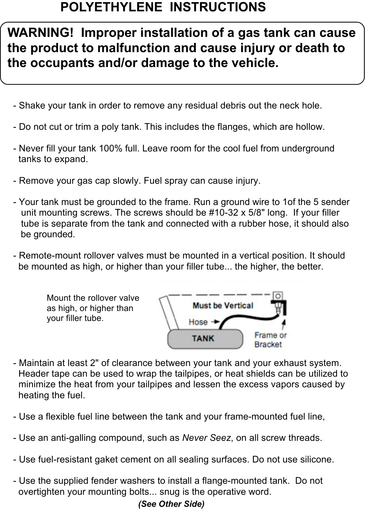## **POLYETHYLENE INSTRUCTIONS**

## **WARNING! Improper installation of a gas tank can cause the product to malfunction and cause injury or death to the occupants and/or damage to the vehicle.**

- Shake your tank in order to remove any residual debris out the neck hole.
- Do not cut or trim a poly tank. This includes the flanges, which are hollow.
- Never fill your tank 100% full. Leave room for the cool fuel from underground tanks to expand.
- Remove your gas cap slowly. Fuel spray can cause injury.
- Your tank must be grounded to the frame. Run a ground wire to 1of the 5 sender unit mounting screws. The screws should be #10-32 x 5/8" long. If your filler tube is separate from the tank and connected with a rubber hose, it should also be grounded.
- Remote-mount rollover valves must be mounted in a vertical position. It should be mounted as high, or higher than your filler tube... the higher, the better.



- Maintain at least 2" of clearance between your tank and your exhaust system. Header tape can be used to wrap the tailpipes, or heat shields can be utilized to minimize the heat from your tailpipes and lessen the excess vapors caused by heating the fuel.
- Use a flexible fuel line between the tank and your frame-mounted fuel line,
- Use an anti-galling compound, such as *Never Seez*, on all screw threads.
- Use fuel-resistant gaket cement on all sealing surfaces. Do not use silicone.
- Use the supplied fender washers to install a flange-mounted tank. Do not overtighten your mounting bolts... snug is the operative word.